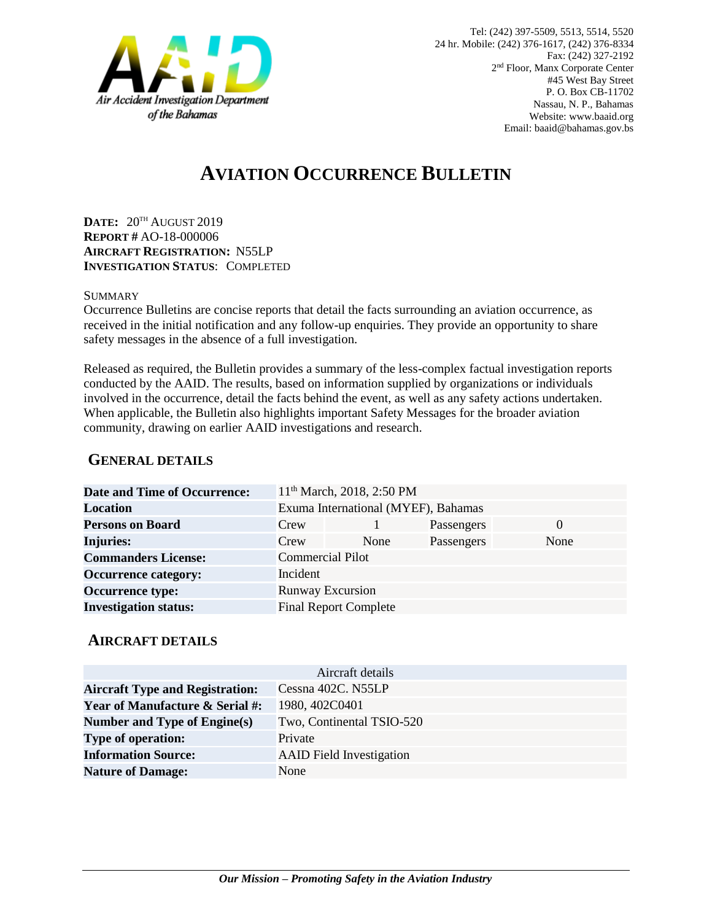

# **AVIATION OCCURRENCE BULLETIN**

**DATE:** 20TH AUGUST 2019 **REPORT #** AO-18-000006 **AIRCRAFT REGISTRATION:** N55LP **INVESTIGATION STATUS**: COMPLETED

#### **SUMMARY**

Occurrence Bulletins are concise reports that detail the facts surrounding an aviation occurrence, as received in the initial notification and any follow-up enquiries. They provide an opportunity to share safety messages in the absence of a full investigation*.*

Released as required, the Bulletin provides a summary of the less-complex factual investigation reports conducted by the AAID. The results, based on information supplied by organizations or individuals involved in the occurrence, detail the facts behind the event, as well as any safety actions undertaken. When applicable, the Bulletin also highlights important Safety Messages for the broader aviation community, drawing on earlier AAID investigations and research.

### **GENERAL DETAILS**

| <b>Date and Time of Occurrence:</b> |                                     | 11 <sup>th</sup> March, 2018, 2:50 PM |            |          |
|-------------------------------------|-------------------------------------|---------------------------------------|------------|----------|
| <b>Location</b>                     | Exuma International (MYEF), Bahamas |                                       |            |          |
| <b>Persons on Board</b>             | Crew                                |                                       | Passengers | $\Omega$ |
| <b>Injuries:</b>                    | Crew                                | None                                  | Passengers | None     |
| <b>Commanders License:</b>          | <b>Commercial Pilot</b>             |                                       |            |          |
| <b>Occurrence category:</b>         | Incident                            |                                       |            |          |
| <b>Occurrence type:</b>             | <b>Runway Excursion</b>             |                                       |            |          |
| <b>Investigation status:</b>        | <b>Final Report Complete</b>        |                                       |            |          |

#### **AIRCRAFT DETAILS**

| Aircraft details                           |                                 |  |  |  |
|--------------------------------------------|---------------------------------|--|--|--|
| <b>Aircraft Type and Registration:</b>     | Cessna 402C. N55LP              |  |  |  |
| <b>Year of Manufacture &amp; Serial #:</b> | 1980, 402C0401                  |  |  |  |
| Number and Type of Engine(s)               | Two, Continental TSIO-520       |  |  |  |
| <b>Type of operation:</b>                  | Private                         |  |  |  |
| <b>Information Source:</b>                 | <b>AAID</b> Field Investigation |  |  |  |
| <b>Nature of Damage:</b>                   | None                            |  |  |  |